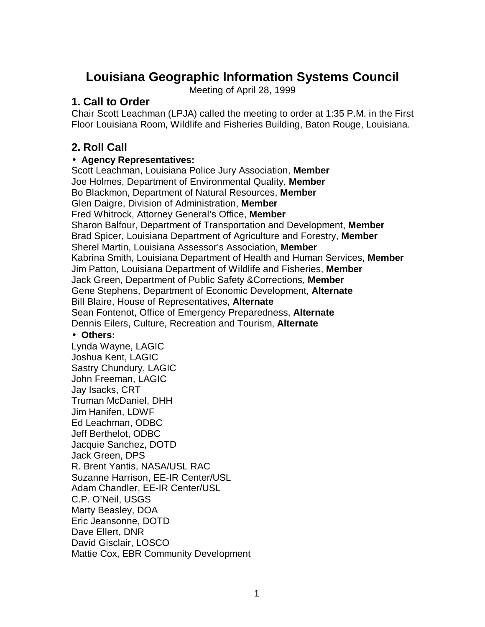# **Louisiana Geographic Information Systems Council**

Meeting of April 28, 1999

## **1. Call to Order**

Chair Scott Leachman (LPJA) called the meeting to order at 1:35 P.M. in the First Floor Louisiana Room, Wildlife and Fisheries Building, Baton Rouge, Louisiana.

# **2. Roll Call**

### **· Agency Representatives:**

Scott Leachman, Louisiana Police Jury Association, **Member** Joe Holmes, Department of Environmental Quality, **Member** Bo Blackmon, Department of Natural Resources, **Member** Glen Daigre, Division of Administration, **Member** Fred Whitrock, Attorney General's Office, **Member** Sharon Balfour, Department of Transportation and Development, **Member** Brad Spicer, Louisiana Department of Agriculture and Forestry, **Member** Sherel Martin, Louisiana Assessor's Association, **Member** Kabrina Smith, Louisiana Department of Health and Human Services, **Member** Jim Patton, Louisiana Department of Wildlife and Fisheries, **Member** Jack Green, Department of Public Safety &Corrections, **Member** Gene Stephens, Department of Economic Development, **Alternate** Bill Blaire, House of Representatives, **Alternate** Sean Fontenot, Office of Emergency Preparedness, **Alternate** Dennis Eilers, Culture, Recreation and Tourism, **Alternate**

#### **· Others:**

Lynda Wayne, LAGIC Joshua Kent, LAGIC Sastry Chundury, LAGIC John Freeman, LAGIC Jay Isacks, CRT Truman McDaniel, DHH Jim Hanifen, LDWF Ed Leachman, ODBC Jeff Berthelot, ODBC Jacquie Sanchez, DOTD Jack Green, DPS R. Brent Yantis, NASA/USL RAC Suzanne Harrison, EE-IR Center/USL Adam Chandler, EE-IR Center/USL C.P. O'Neil, USGS Marty Beasley, DOA Eric Jeansonne, DOTD Dave Ellert, DNR David Gisclair, LOSCO Mattie Cox, EBR Community Development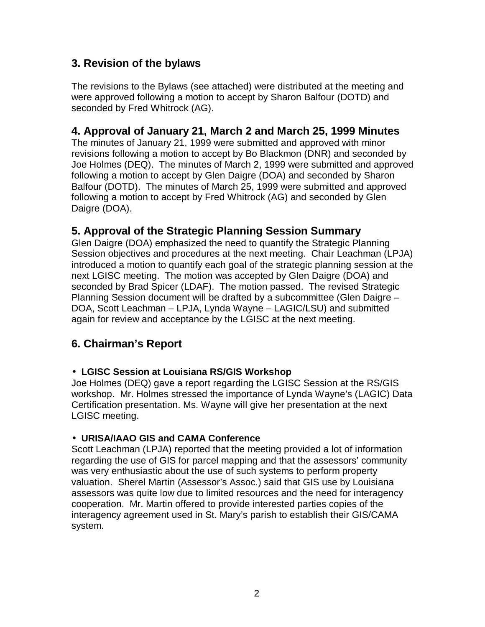# **3. Revision of the bylaws**

The revisions to the Bylaws (see attached) were distributed at the meeting and were approved following a motion to accept by Sharon Balfour (DOTD) and seconded by Fred Whitrock (AG).

# **4. Approval of January 21, March 2 and March 25, 1999 Minutes**

The minutes of January 21, 1999 were submitted and approved with minor revisions following a motion to accept by Bo Blackmon (DNR) and seconded by Joe Holmes (DEQ). The minutes of March 2, 1999 were submitted and approved following a motion to accept by Glen Daigre (DOA) and seconded by Sharon Balfour (DOTD). The minutes of March 25, 1999 were submitted and approved following a motion to accept by Fred Whitrock (AG) and seconded by Glen Daigre (DOA).

# **5. Approval of the Strategic Planning Session Summary**

Glen Daigre (DOA) emphasized the need to quantify the Strategic Planning Session objectives and procedures at the next meeting. Chair Leachman (LPJA) introduced a motion to quantify each goal of the strategic planning session at the next LGISC meeting. The motion was accepted by Glen Daigre (DOA) and seconded by Brad Spicer (LDAF). The motion passed. The revised Strategic Planning Session document will be drafted by a subcommittee (Glen Daigre – DOA, Scott Leachman – LPJA, Lynda Wayne – LAGIC/LSU) and submitted again for review and acceptance by the LGISC at the next meeting.

# **6. Chairman's Report**

#### **· LGISC Session at Louisiana RS/GIS Workshop**

Joe Holmes (DEQ) gave a report regarding the LGISC Session at the RS/GIS workshop. Mr. Holmes stressed the importance of Lynda Wayne's (LAGIC) Data Certification presentation. Ms. Wayne will give her presentation at the next LGISC meeting.

#### **· URISA/IAAO GIS and CAMA Conference**

Scott Leachman (LPJA) reported that the meeting provided a lot of information regarding the use of GIS for parcel mapping and that the assessors' community was very enthusiastic about the use of such systems to perform property valuation. Sherel Martin (Assessor's Assoc.) said that GIS use by Louisiana assessors was quite low due to limited resources and the need for interagency cooperation. Mr. Martin offered to provide interested parties copies of the interagency agreement used in St. Mary's parish to establish their GIS/CAMA system.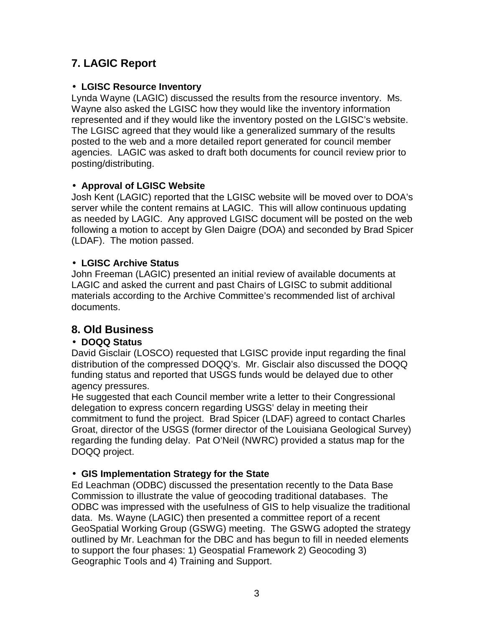# **7. LAGIC Report**

## **· LGISC Resource Inventory**

Lynda Wayne (LAGIC) discussed the results from the resource inventory. Ms. Wayne also asked the LGISC how they would like the inventory information represented and if they would like the inventory posted on the LGISC's website. The LGISC agreed that they would like a generalized summary of the results posted to the web and a more detailed report generated for council member agencies. LAGIC was asked to draft both documents for council review prior to posting/distributing.

## **· Approval of LGISC Website**

Josh Kent (LAGIC) reported that the LGISC website will be moved over to DOA's server while the content remains at LAGIC. This will allow continuous updating as needed by LAGIC. Any approved LGISC document will be posted on the web following a motion to accept by Glen Daigre (DOA) and seconded by Brad Spicer (LDAF). The motion passed.

## **· LGISC Archive Status**

John Freeman (LAGIC) presented an initial review of available documents at LAGIC and asked the current and past Chairs of LGISC to submit additional materials according to the Archive Committee's recommended list of archival documents.

# **8. Old Business**

# **· DOQQ Status**

David Gisclair (LOSCO) requested that LGISC provide input regarding the final distribution of the compressed DOQQ's. Mr. Gisclair also discussed the DOQQ funding status and reported that USGS funds would be delayed due to other agency pressures.

He suggested that each Council member write a letter to their Congressional delegation to express concern regarding USGS' delay in meeting their commitment to fund the project. Brad Spicer (LDAF) agreed to contact Charles Groat, director of the USGS (former director of the Louisiana Geological Survey) regarding the funding delay. Pat O'Neil (NWRC) provided a status map for the DOQQ project.

## **· GIS Implementation Strategy for the State**

Ed Leachman (ODBC) discussed the presentation recently to the Data Base Commission to illustrate the value of geocoding traditional databases. The ODBC was impressed with the usefulness of GIS to help visualize the traditional data. Ms. Wayne (LAGIC) then presented a committee report of a recent GeoSpatial Working Group (GSWG) meeting. The GSWG adopted the strategy outlined by Mr. Leachman for the DBC and has begun to fill in needed elements to support the four phases: 1) Geospatial Framework 2) Geocoding 3) Geographic Tools and 4) Training and Support.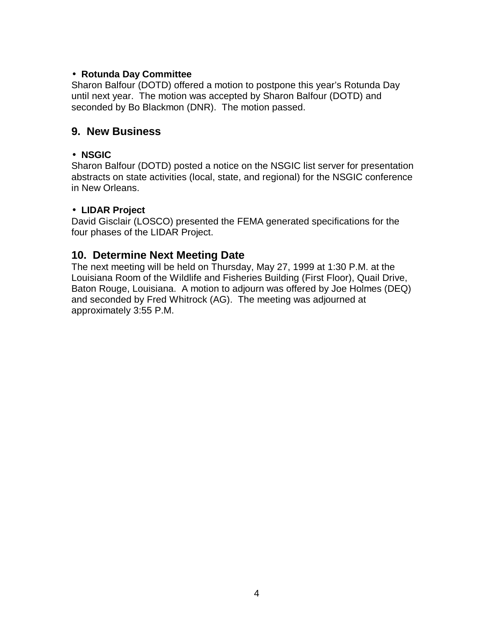### **· Rotunda Day Committee**

Sharon Balfour (DOTD) offered a motion to postpone this year's Rotunda Day until next year. The motion was accepted by Sharon Balfour (DOTD) and seconded by Bo Blackmon (DNR). The motion passed.

## **9. New Business**

### **· NSGIC**

Sharon Balfour (DOTD) posted a notice on the NSGIC list server for presentation abstracts on state activities (local, state, and regional) for the NSGIC conference in New Orleans.

#### **· LIDAR Project**

David Gisclair (LOSCO) presented the FEMA generated specifications for the four phases of the LIDAR Project.

# **10. Determine Next Meeting Date**

The next meeting will be held on Thursday, May 27, 1999 at 1:30 P.M. at the Louisiana Room of the Wildlife and Fisheries Building (First Floor), Quail Drive, Baton Rouge, Louisiana. A motion to adjourn was offered by Joe Holmes (DEQ) and seconded by Fred Whitrock (AG). The meeting was adjourned at approximately 3:55 P.M.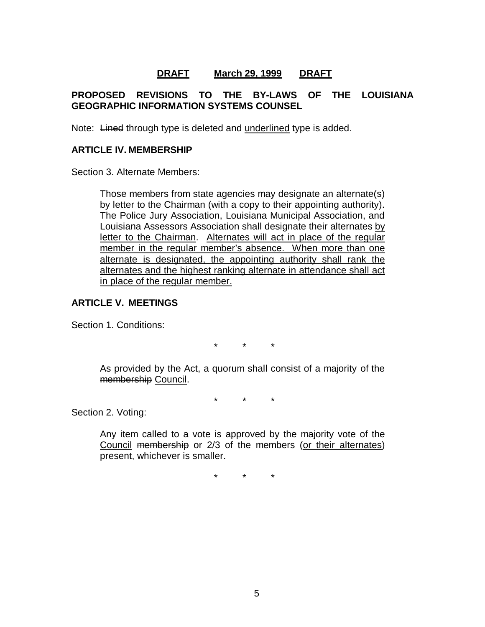### **DRAFT March 29, 1999 DRAFT**

### **PROPOSED REVISIONS TO THE BY-LAWS OF THE LOUISIANA GEOGRAPHIC INFORMATION SYSTEMS COUNSEL**

Note: Lined through type is deleted and underlined type is added.

#### **ARTICLE IV. MEMBERSHIP**

Section 3. Alternate Members:

Those members from state agencies may designate an alternate(s) by letter to the Chairman (with a copy to their appointing authority). The Police Jury Association, Louisiana Municipal Association, and Louisiana Assessors Association shall designate their alternates by letter to the Chairman. Alternates will act in place of the regular member in the regular member's absence. When more than one alternate is designated, the appointing authority shall rank the alternates and the highest ranking alternate in attendance shall act in place of the regular member.

#### **ARTICLE V. MEETINGS**

Section 1. Conditions:

\* \* \*

As provided by the Act, a quorum shall consist of a majority of the membership Council.

\* \* \*

Section 2. Voting:

Any item called to a vote is approved by the majority vote of the Council membership or 2/3 of the members (or their alternates) present, whichever is smaller.

\* \* \*